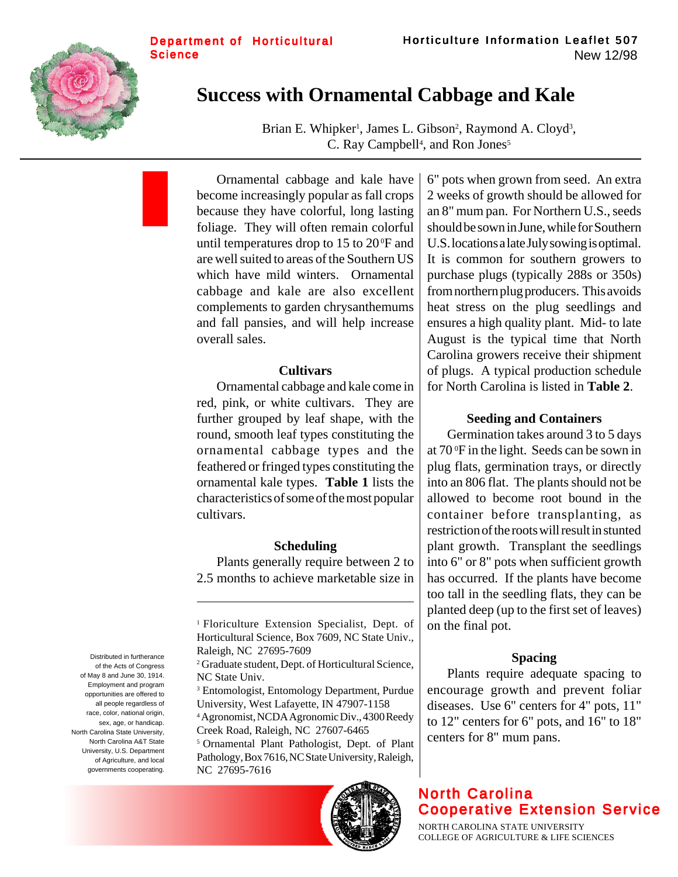

# **Success with Ornamental Cabbage and Kale**

Brian E. Whipker<sup>1</sup>, James L. Gibson<sup>2</sup>, Raymond A. Cloyd<sup>3</sup>, C. Ray Campbell<sup>4</sup>, and Ron Jones<sup>5</sup>

Ornamental cabbage and kale have become increasingly popular as fall crops because they have colorful, long lasting foliage. They will often remain colorful until temperatures drop to  $15$  to  $20^{\circ}$ F and are well suited to areas of the Southern US which have mild winters. Ornamental cabbage and kale are also excellent complements to garden chrysanthemums and fall pansies, and will help increase overall sales.

#### **Cultivars**

Ornamental cabbage and kale come in red, pink, or white cultivars. They are further grouped by leaf shape, with the round, smooth leaf types constituting the ornamental cabbage types and the feathered or fringed types constituting the ornamental kale types. **Table 1** lists the characteristics of some of the most popular cultivars.

#### **Scheduling**

Plants generally require between 2 to 2.5 months to achieve marketable size in

3 Entomologist, Entomology Department, Purdue University, West Lafayette, IN 47907-1158

4 Agronomist, NCDA Agronomic Div., 4300 Reedy Creek Road, Raleigh, NC 27607-6465

5 Ornamental Plant Pathologist, Dept. of Plant Pathology, Box 7616, NC State University, Raleigh, NC 27695-7616



6" pots when grown from seed. An extra 2 weeks of growth should be allowed for an 8" mum pan. For Northern U.S., seeds should be sown in June, while for Southern U.S. locations a late July sowing is optimal. It is common for southern growers to purchase plugs (typically 288s or 350s) from northern plug producers. This avoids heat stress on the plug seedlings and ensures a high quality plant. Mid- to late August is the typical time that North Carolina growers receive their shipment of plugs. A typical production schedule for North Carolina is listed in **Table 2**.

### **Seeding and Containers**

Germination takes around 3 to 5 days at 70 0 F in the light. Seeds can be sown in plug flats, germination trays, or directly into an 806 flat. The plants should not be allowed to become root bound in the container before transplanting, as restriction of the roots will result in stunted plant growth. Transplant the seedlings into 6" or 8" pots when sufficient growth has occurred. If the plants have become too tall in the seedling flats, they can be planted deep (up to the first set of leaves) on the final pot.

### **Spacing**

Plants require adequate spacing to encourage growth and prevent foliar diseases. Use 6" centers for 4" pots, 11" to 12" centers for 6" pots, and 16" to 18" centers for 8" mum pans.

# North Carolina Cooperative Extension Service

NORTH CAROLINA STATE UNIVERSITY COLLEGE OF AGRICULTURE & LIFE SCIENCES

Distributed in furtherance of the Acts of Congress of May 8 and June 30, 1914. Employment and program opportunities are offered to all people regardless of race, color, national origin, sex, age, or handicap. North Carolina State University, North Carolina A&T State University, U.S. Department of Agriculture, and local governments cooperating.

<sup>1</sup> Floriculture Extension Specialist, Dept. of Horticultural Science, Box 7609, NC State Univ., Raleigh, NC 27695-7609

<sup>2</sup> Graduate student, Dept. of Horticultural Science, NC State Univ.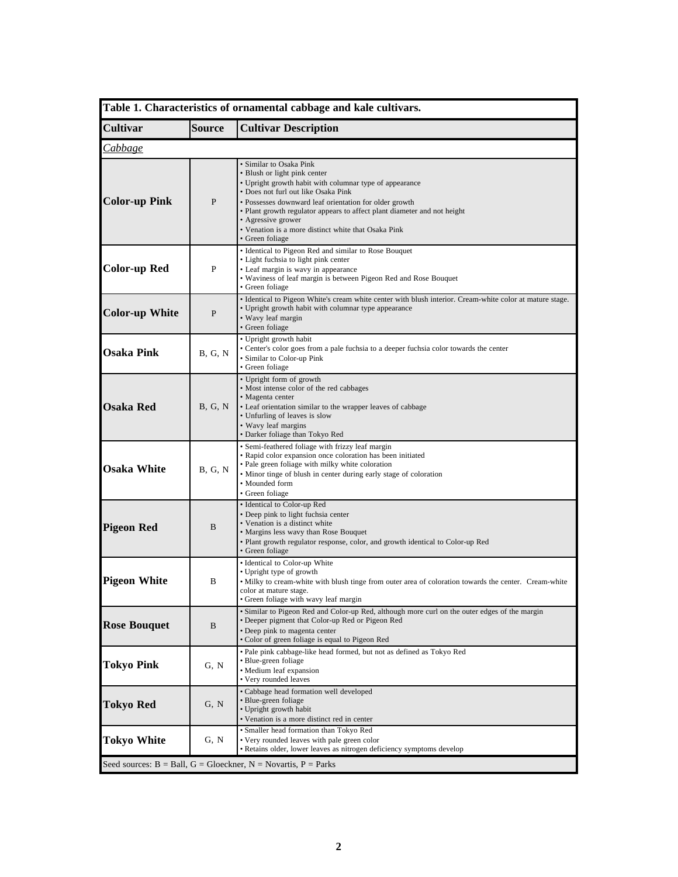| Table 1. Characteristics of ornamental cabbage and kale cultivars. |                |                                                                                                                                                                                                                                                                                                                                                                                                 |
|--------------------------------------------------------------------|----------------|-------------------------------------------------------------------------------------------------------------------------------------------------------------------------------------------------------------------------------------------------------------------------------------------------------------------------------------------------------------------------------------------------|
| <b>Cultivar</b>                                                    | Source         | <b>Cultivar Description</b>                                                                                                                                                                                                                                                                                                                                                                     |
| <i>Cabbage</i>                                                     |                |                                                                                                                                                                                                                                                                                                                                                                                                 |
| <b>Color-up Pink</b>                                               | P              | • Similar to Osaka Pink<br>• Blush or light pink center<br>• Upright growth habit with columnar type of appearance<br>• Does not furl out like Osaka Pink<br>· Possesses downward leaf orientation for older growth<br>• Plant growth regulator appears to affect plant diameter and not height<br>• Agressive grower<br>· Venation is a more distinct white that Osaka Pink<br>• Green foliage |
| <b>Color-up Red</b>                                                | P              | • Identical to Pigeon Red and similar to Rose Bouquet<br>• Light fuchsia to light pink center<br>• Leaf margin is wavy in appearance<br>• Waviness of leaf margin is between Pigeon Red and Rose Bouquet<br>• Green foliage                                                                                                                                                                     |
| <b>Color-up White</b>                                              | P              | • Identical to Pigeon White's cream white center with blush interior. Cream-white color at mature stage.<br>• Upright growth habit with columnar type appearance<br>· Wavy leaf margin<br>• Green foliage                                                                                                                                                                                       |
| <b>Osaka Pink</b>                                                  | <b>B. G. N</b> | • Upright growth habit<br>• Center's color goes from a pale fuchsia to a deeper fuchsia color towards the center<br>• Similar to Color-up Pink<br>• Green foliage                                                                                                                                                                                                                               |
| <b>Osaka Red</b>                                                   | B, G, N        | · Upright form of growth<br>• Most intense color of the red cabbages<br>· Magenta center<br>• Leaf orientation similar to the wrapper leaves of cabbage<br>• Unfurling of leaves is slow<br>• Wavy leaf margins<br>· Darker foliage than Tokyo Red                                                                                                                                              |
| <b>Osaka White</b>                                                 | B, G, N        | • Semi-feathered foliage with frizzy leaf margin<br>• Rapid color expansion once coloration has been initiated<br>• Pale green foliage with milky white coloration<br>• Minor tinge of blush in center during early stage of coloration<br>• Mounded form<br>• Green foliage                                                                                                                    |
| <b>Pigeon Red</b>                                                  | B              | • Identical to Color-up Red<br>• Deep pink to light fuchsia center<br>· Venation is a distinct white<br>• Margins less wavy than Rose Bouquet<br>• Plant growth regulator response, color, and growth identical to Color-up Red<br>• Green foliage                                                                                                                                              |
| <b>Pigeon White</b>                                                | B              | · Identical to Color-up White<br>• Upright type of growth<br>. Milky to cream-white with blush tinge from outer area of coloration towards the center. Cream-white<br>color at mature stage.<br>• Green foliage with wavy leaf margin                                                                                                                                                           |
| <b>Rose Bouquet</b>                                                | B              | • Similar to Pigeon Red and Color-up Red, although more curl on the outer edges of the margin<br>• Deeper pigment that Color-up Red or Pigeon Red<br>• Deep pink to magenta center<br>• Color of green foliage is equal to Pigeon Red                                                                                                                                                           |
| <b>Tokyo Pink</b>                                                  | G, N           | • Pale pink cabbage-like head formed, but not as defined as Tokyo Red<br>• Blue-green foliage<br>• Medium leaf expansion<br>• Very rounded leaves                                                                                                                                                                                                                                               |
| <b>Tokyo Red</b>                                                   | G, N           | • Cabbage head formation well developed<br>· Blue-green foliage<br>• Upright growth habit<br>• Venation is a more distinct red in center                                                                                                                                                                                                                                                        |
| <b>Tokyo White</b>                                                 | G, N           | · Smaller head formation than Tokyo Red<br>• Very rounded leaves with pale green color<br>• Retains older, lower leaves as nitrogen deficiency symptoms develop                                                                                                                                                                                                                                 |
|                                                                    |                | Seed sources: $B = Ball$ , $G = Gloeckner$ , $N = Novartis$ , $P = Parks$                                                                                                                                                                                                                                                                                                                       |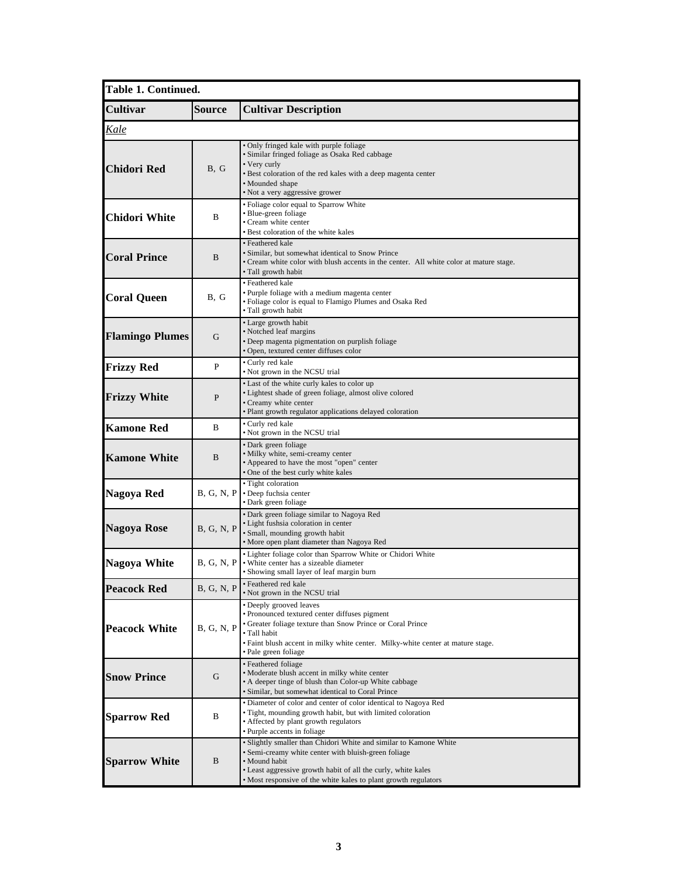| Table 1. Continued.    |                                                                                                                                                                                                                                                                                     |                                                                                                                                                                                                                                                                   |  |
|------------------------|-------------------------------------------------------------------------------------------------------------------------------------------------------------------------------------------------------------------------------------------------------------------------------------|-------------------------------------------------------------------------------------------------------------------------------------------------------------------------------------------------------------------------------------------------------------------|--|
| <b>Cultivar</b>        | <b>Source</b>                                                                                                                                                                                                                                                                       | <b>Cultivar Description</b>                                                                                                                                                                                                                                       |  |
| Kale                   |                                                                                                                                                                                                                                                                                     |                                                                                                                                                                                                                                                                   |  |
| Chidori Red            | B, G                                                                                                                                                                                                                                                                                | • Only fringed kale with purple foliage<br>• Similar fringed foliage as Osaka Red cabbage<br>• Very curly<br>• Best coloration of the red kales with a deep magenta center<br>• Mounded shape<br>• Not a very aggressive grower                                   |  |
| <b>Chidori White</b>   | B                                                                                                                                                                                                                                                                                   | · Foliage color equal to Sparrow White<br>• Blue-green foliage<br>• Cream white center<br>• Best coloration of the white kales                                                                                                                                    |  |
| <b>Coral Prince</b>    | B                                                                                                                                                                                                                                                                                   | • Feathered kale<br>• Similar, but somewhat identical to Snow Prince<br>• Cream white color with blush accents in the center. All white color at mature stage.<br>• Tall growth habit                                                                             |  |
| <b>Coral Queen</b>     | B, G                                                                                                                                                                                                                                                                                | • Feathered kale<br>• Purple foliage with a medium magenta center<br>• Foliage color is equal to Flamigo Plumes and Osaka Red<br>· Tall growth habit                                                                                                              |  |
| <b>Flamingo Plumes</b> | G                                                                                                                                                                                                                                                                                   | • Large growth habit<br>• Notched leaf margins<br>• Deep magenta pigmentation on purplish foliage<br>• Open, textured center diffuses color                                                                                                                       |  |
| <b>Frizzy Red</b>      | P                                                                                                                                                                                                                                                                                   | • Curly red kale<br>• Not grown in the NCSU trial                                                                                                                                                                                                                 |  |
| <b>Frizzy White</b>    | P                                                                                                                                                                                                                                                                                   | • Last of the white curly kales to color up<br>· Lightest shade of green foliage, almost olive colored<br>• Creamy white center<br>· Plant growth regulator applications delayed coloration                                                                       |  |
| <b>Kamone Red</b>      | B                                                                                                                                                                                                                                                                                   | • Curly red kale<br>• Not grown in the NCSU trial                                                                                                                                                                                                                 |  |
| <b>Kamone White</b>    | B                                                                                                                                                                                                                                                                                   | • Dark green foliage<br>· Milky white, semi-creamy center<br>• Appeared to have the most "open" center<br>• One of the best curly white kales                                                                                                                     |  |
| Nagoya Red             | B, G, N, P                                                                                                                                                                                                                                                                          | • Tight coloration<br>• Deep fuchsia center<br>• Dark green foliage                                                                                                                                                                                               |  |
| Nagoya Rose            | B, G, N, P                                                                                                                                                                                                                                                                          | · Dark green foliage similar to Nagoya Red<br>• Light fushsia coloration in center<br>· Small, mounding growth habit<br>• More open plant diameter than Nagoya Red                                                                                                |  |
| <b>Nagoya White</b>    | B. G. N. P                                                                                                                                                                                                                                                                          | • Lighter foliage color than Sparrow White or Chidori White<br>• White center has a sizeable diameter<br>• Showing small layer of leaf margin burn                                                                                                                |  |
| <b>Peacock Red</b>     | B, G, N, P                                                                                                                                                                                                                                                                          | · Feathered red kale<br>• Not grown in the NCSU trial                                                                                                                                                                                                             |  |
| <b>Peacock White</b>   | B, G, N, P                                                                                                                                                                                                                                                                          | • Deeply grooved leaves<br>• Pronounced textured center diffuses pigment<br>• Greater foliage texture than Snow Prince or Coral Prince<br>· Tall habit<br>· Faint blush accent in milky white center. Milky-white center at mature stage.<br>• Pale green foliage |  |
| <b>Snow Prince</b>     | G                                                                                                                                                                                                                                                                                   | · Feathered foliage<br>· Moderate blush accent in milky white center<br>• A deeper tinge of blush than Color-up White cabbage<br>· Similar, but somewhat identical to Coral Prince                                                                                |  |
| <b>Sparrow Red</b>     | B                                                                                                                                                                                                                                                                                   | • Diameter of color and center of color identical to Nagoya Red<br>• Tight, mounding growth habit, but with limited coloration<br>• Affected by plant growth regulators<br>• Purple accents in foliage                                                            |  |
| <b>Sparrow White</b>   | • Slightly smaller than Chidori White and similar to Kamone White<br>• Semi-creamy white center with bluish-green foliage<br>B<br>• Mound habit<br>• Least aggressive growth habit of all the curly, white kales<br>• Most responsive of the white kales to plant growth regulators |                                                                                                                                                                                                                                                                   |  |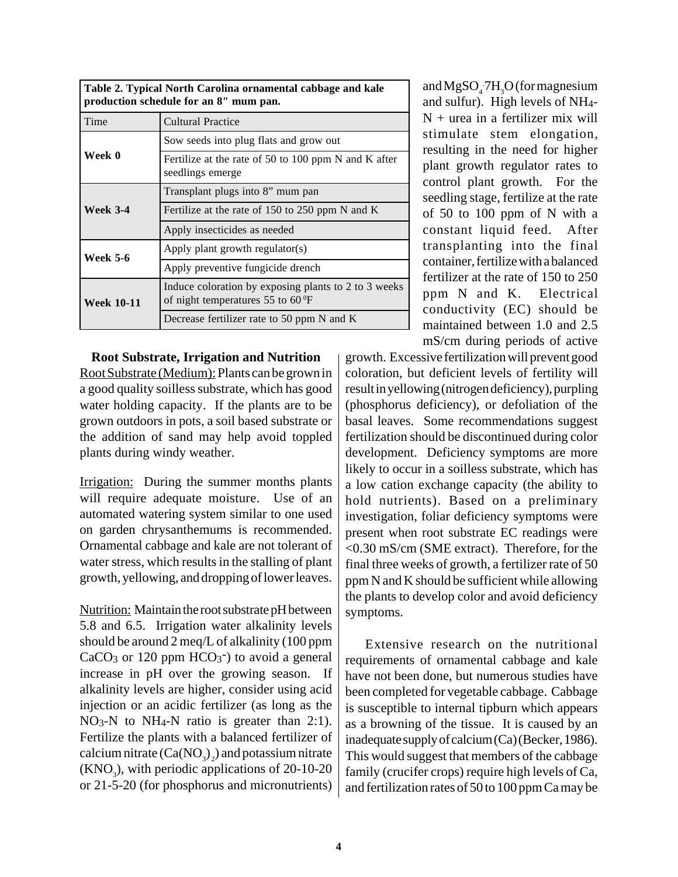| Table 2. Typical North Carolina ornamental cabbage and kale<br>production schedule for an 8" mum pan. |                                                           |  |
|-------------------------------------------------------------------------------------------------------|-----------------------------------------------------------|--|
| l Time                                                                                                | Cultural Practice                                         |  |
|                                                                                                       | $\mathbf{1}$ , $\mathbf{1}$ , $\mathbf{1}$ , $\mathbf{1}$ |  |

|                   | Sow seeds into plug flats and grow out                                                             |
|-------------------|----------------------------------------------------------------------------------------------------|
| Week 0            | Fertilize at the rate of 50 to 100 ppm N and K after<br>seedlings emerge                           |
|                   | Transplant plugs into 8" mum pan                                                                   |
| <b>Week 3-4</b>   | Fertilize at the rate of 150 to 250 ppm N and K                                                    |
|                   | Apply insecticides as needed                                                                       |
| Week 5-6          | Apply plant growth regulator(s)                                                                    |
|                   | Apply preventive fungicide drench                                                                  |
| <b>Week 10-11</b> | Induce coloration by exposing plants to 2 to 3 weeks<br>of night temperatures 55 to $60^{\circ}$ F |
|                   | Decrease fertilizer rate to 50 ppm N and K                                                         |

**Root Substrate, Irrigation and Nutrition** Root Substrate (Medium): Plants can be grown in a good quality soilless substrate, which has good water holding capacity. If the plants are to be grown outdoors in pots, a soil based substrate or the addition of sand may help avoid toppled plants during windy weather.

Irrigation: During the summer months plants will require adequate moisture. Use of an automated watering system similar to one used on garden chrysanthemums is recommended. Ornamental cabbage and kale are not tolerant of water stress, which results in the stalling of plant growth, yellowing, and dropping of lower leaves.

Nutrition: Maintain the root substrate pH between 5.8 and 6.5. Irrigation water alkalinity levels should be around 2 meq/L of alkalinity (100 ppm  $CaCO<sub>3</sub>$  or 120 ppm  $HCO<sub>3</sub>$ ) to avoid a general increase in pH over the growing season. If alkalinity levels are higher, consider using acid injection or an acidic fertilizer (as long as the NO3-N to NH4-N ratio is greater than 2:1). Fertilize the plants with a balanced fertilizer of calcium nitrate  $(Ca(NO<sub>3</sub>)<sub>2</sub>)$  and potassium nitrate  $(KNO<sub>3</sub>)$ , with periodic applications of 20-10-20 or 21-5-20 (for phosphorus and micronutrients)

and  $MgSO_4$  7H<sub>3</sub>O (for magnesium and sulfur). High levels of NH4-  $N +$ urea in a fertilizer mix will stimulate stem elongation, resulting in the need for higher plant growth regulator rates to control plant growth. For the seedling stage, fertilize at the rate of 50 to 100 ppm of N with a constant liquid feed. After transplanting into the final container, fertilize with a balanced fertilizer at the rate of 150 to 250 ppm N and K. Electrical conductivity (EC) should be maintained between 1.0 and 2.5 mS/cm during periods of active

growth. Excessive fertilization will prevent good coloration, but deficient levels of fertility will result in yellowing (nitrogen deficiency), purpling (phosphorus deficiency), or defoliation of the basal leaves. Some recommendations suggest fertilization should be discontinued during color development. Deficiency symptoms are more likely to occur in a soilless substrate, which has a low cation exchange capacity (the ability to hold nutrients). Based on a preliminary investigation, foliar deficiency symptoms were present when root substrate EC readings were <0.30 mS/cm (SME extract). Therefore, for the final three weeks of growth, a fertilizer rate of 50 ppm N and K should be sufficient while allowing the plants to develop color and avoid deficiency symptoms.

Extensive research on the nutritional requirements of ornamental cabbage and kale have not been done, but numerous studies have been completed for vegetable cabbage. Cabbage is susceptible to internal tipburn which appears as a browning of the tissue. It is caused by an inadequate supply of calcium (Ca) (Becker, 1986). This would suggest that members of the cabbage family (crucifer crops) require high levels of Ca, and fertilization rates of 50 to 100 ppm Ca may be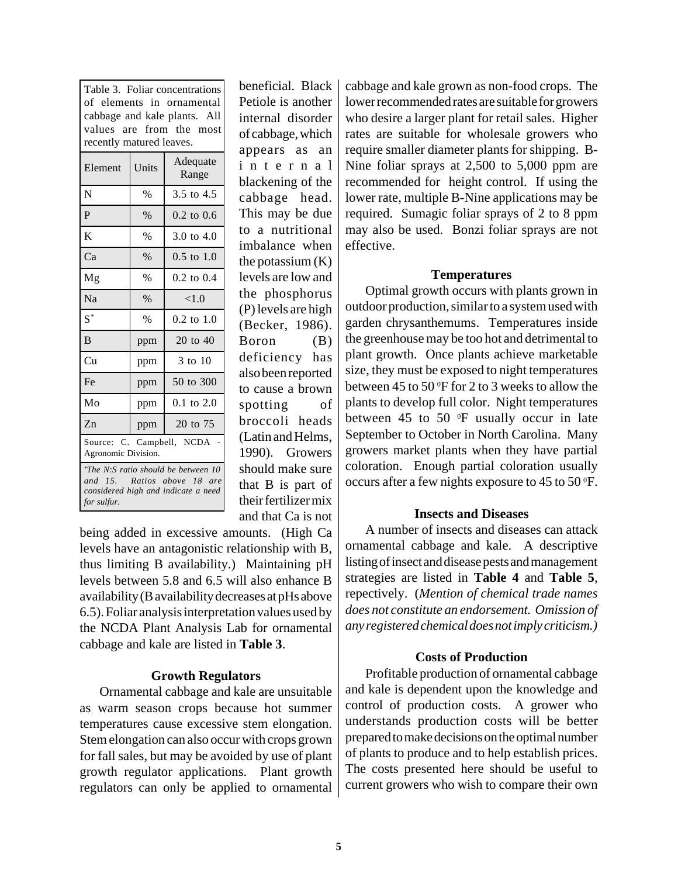| Table 3. Foliar concentrations<br>of elements in ornamental<br>cabbage and kale plants. All<br>values are from the most<br>recently matured leaves. |               |                       |
|-----------------------------------------------------------------------------------------------------------------------------------------------------|---------------|-----------------------|
| Element                                                                                                                                             | Units         | Adequate<br>Range     |
| N                                                                                                                                                   | $\frac{0}{0}$ | 3.5 to 4.5            |
| $\mathbf{P}$                                                                                                                                        | $\%$          | $0.2$ to $0.6$        |
| K                                                                                                                                                   | $\%$          | 3.0 to $4.0$          |
| Ca                                                                                                                                                  | $\%$          | $0.5 \text{ to } 1.0$ |
| Mg                                                                                                                                                  | $\frac{0}{0}$ | $0.2$ to $0.4$        |
| <b>Na</b>                                                                                                                                           | $\%$          | < 1.0                 |
| $S^*$                                                                                                                                               | $\%$          | $0.2$ to $1.0$        |
| <sub>B</sub>                                                                                                                                        | ppm           | $20$ to $40$          |
| Cu                                                                                                                                                  | ppm           | 3 to 10               |
| Fe                                                                                                                                                  | ppm           | 50 to 300             |
| Mo                                                                                                                                                  | ppm           | $0.1$ to $2.0$        |
| Zn                                                                                                                                                  | ppm           | 20 to 75              |
| Source: C. Campbell, NCDA<br>Agronomic Division.                                                                                                    |               |                       |
| *The N:S ratio should be between 10<br>and 15. Ratios above 18 are<br>considered high and indicate a need                                           |               |                       |

*for sulfur.*

of cabbage, which appears as an internal blackening of the cabbage head. This may be due to a nutritional imbalance when the potassium  $(K)$ levels are low and the phosphorus (P) levels are high (Becker, 1986). Boron (B) deficiency has also been reported to cause a brown spotting of broccoli heads (Latin and Helms, 1990). Growers should make sure that B is part of their fertilizer mix and that Ca is not

beneficial. Black Petiole is another internal disorder

being added in excessive amounts. (High Ca levels have an antagonistic relationship with B, thus limiting B availability.) Maintaining pH levels between 5.8 and 6.5 will also enhance B availability (B availability decreases at pHs above 6.5). Foliar analysis interpretation values used by the NCDA Plant Analysis Lab for ornamental cabbage and kale are listed in **Table 3**.

# **Growth Regulators**

Ornamental cabbage and kale are unsuitable as warm season crops because hot summer temperatures cause excessive stem elongation. Stem elongation can also occur with crops grown for fall sales, but may be avoided by use of plant growth regulator applications. Plant growth regulators can only be applied to ornamental cabbage and kale grown as non-food crops. The lower recommended rates are suitable for growers who desire a larger plant for retail sales. Higher rates are suitable for wholesale growers who require smaller diameter plants for shipping. B-Nine foliar sprays at 2,500 to 5,000 ppm are recommended for height control. If using the lower rate, multiple B-Nine applications may be required. Sumagic foliar sprays of 2 to 8 ppm may also be used. Bonzi foliar sprays are not effective.

# **Temperatures**

Optimal growth occurs with plants grown in outdoor production, similar to a system used with garden chrysanthemums. Temperatures inside the greenhouse may be too hot and detrimental to plant growth. Once plants achieve marketable size, they must be exposed to night temperatures between 45 to 50 °F for 2 to 3 weeks to allow the plants to develop full color. Night temperatures between 45 to 50 $\degree$ F usually occur in late September to October in North Carolina. Many growers market plants when they have partial coloration. Enough partial coloration usually occurs after a few nights exposure to  $45$  to  $50^{\circ}$ F.

# **Insects and Diseases**

A number of insects and diseases can attack ornamental cabbage and kale. A descriptive listing of insect and disease pests and management strategies are listed in **Table 4** and **Table 5**, repectively. (*Mention of chemical trade names does not constitute an endorsement. Omission of any registered chemical does not imply criticism.)*

# **Costs of Production**

Profitable production of ornamental cabbage and kale is dependent upon the knowledge and control of production costs. A grower who understands production costs will be better prepared to make decisions on the optimal number of plants to produce and to help establish prices. The costs presented here should be useful to current growers who wish to compare their own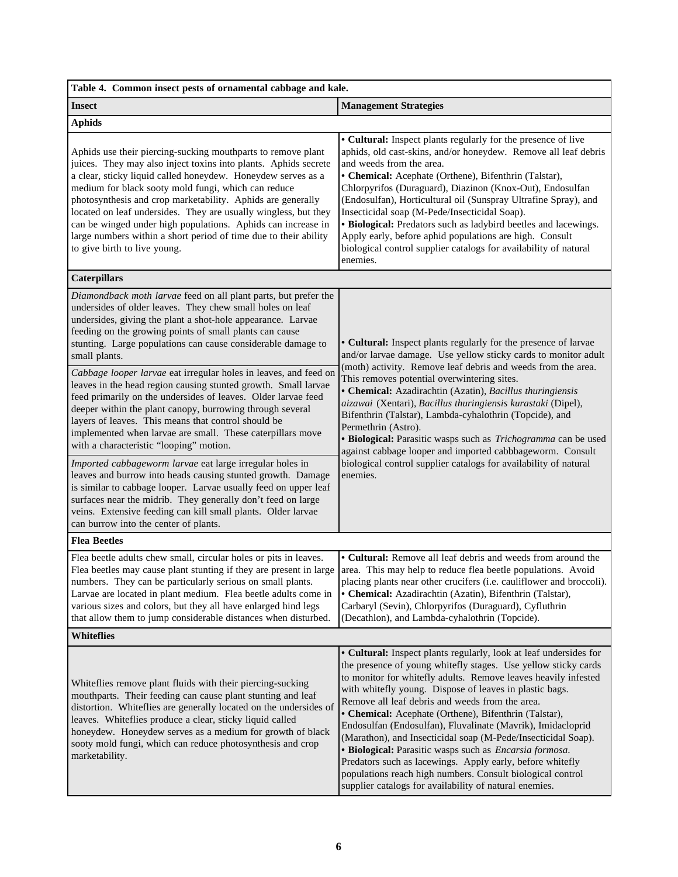| Table 4. Common insect pests of ornamental cabbage and kale.                                                                                                                                                                                                                                                                                                                                                                                                                                                                                                                                                                                                                                                                                                                                                                            |                                                                                                                                                                                                                                                                                                                                                                                                                                                                                                                                                                                                                                                                                                                                                                      |  |  |
|-----------------------------------------------------------------------------------------------------------------------------------------------------------------------------------------------------------------------------------------------------------------------------------------------------------------------------------------------------------------------------------------------------------------------------------------------------------------------------------------------------------------------------------------------------------------------------------------------------------------------------------------------------------------------------------------------------------------------------------------------------------------------------------------------------------------------------------------|----------------------------------------------------------------------------------------------------------------------------------------------------------------------------------------------------------------------------------------------------------------------------------------------------------------------------------------------------------------------------------------------------------------------------------------------------------------------------------------------------------------------------------------------------------------------------------------------------------------------------------------------------------------------------------------------------------------------------------------------------------------------|--|--|
| <b>Insect</b>                                                                                                                                                                                                                                                                                                                                                                                                                                                                                                                                                                                                                                                                                                                                                                                                                           | <b>Management Strategies</b>                                                                                                                                                                                                                                                                                                                                                                                                                                                                                                                                                                                                                                                                                                                                         |  |  |
| <b>Aphids</b>                                                                                                                                                                                                                                                                                                                                                                                                                                                                                                                                                                                                                                                                                                                                                                                                                           |                                                                                                                                                                                                                                                                                                                                                                                                                                                                                                                                                                                                                                                                                                                                                                      |  |  |
| Aphids use their piercing-sucking mouthparts to remove plant<br>juices. They may also inject toxins into plants. Aphids secrete<br>a clear, sticky liquid called honeydew. Honeydew serves as a<br>medium for black sooty mold fungi, which can reduce<br>photosynthesis and crop marketability. Aphids are generally<br>located on leaf undersides. They are usually wingless, but they<br>can be winged under high populations. Aphids can increase in<br>large numbers within a short period of time due to their ability<br>to give birth to live young.                                                                                                                                                                                                                                                                            | • Cultural: Inspect plants regularly for the presence of live<br>aphids, old cast-skins, and/or honeydew. Remove all leaf debris<br>and weeds from the area.<br>• Chemical: Acephate (Orthene), Bifenthrin (Talstar),<br>Chlorpyrifos (Duraguard), Diazinon (Knox-Out), Endosulfan<br>(Endosulfan), Horticultural oil (Sunspray Ultrafine Spray), and<br>Insecticidal soap (M-Pede/Insecticidal Soap).<br>• Biological: Predators such as ladybird beetles and lacewings.<br>Apply early, before aphid populations are high. Consult<br>biological control supplier catalogs for availability of natural<br>enemies.                                                                                                                                                 |  |  |
| <b>Caterpillars</b>                                                                                                                                                                                                                                                                                                                                                                                                                                                                                                                                                                                                                                                                                                                                                                                                                     |                                                                                                                                                                                                                                                                                                                                                                                                                                                                                                                                                                                                                                                                                                                                                                      |  |  |
| Diamondback moth larvae feed on all plant parts, but prefer the<br>undersides of older leaves. They chew small holes on leaf<br>undersides, giving the plant a shot-hole appearance. Larvae<br>feeding on the growing points of small plants can cause<br>stunting. Large populations can cause considerable damage to<br>small plants.<br>Cabbage looper larvae eat irregular holes in leaves, and feed on<br>leaves in the head region causing stunted growth. Small larvae<br>feed primarily on the undersides of leaves. Older larvae feed<br>deeper within the plant canopy, burrowing through several<br>layers of leaves. This means that control should be<br>implemented when larvae are small. These caterpillars move<br>with a characteristic "looping" motion.<br>Imported cabbageworm larvae eat large irregular holes in | • Cultural: Inspect plants regularly for the presence of larvae<br>and/or larvae damage. Use yellow sticky cards to monitor adult<br>(moth) activity. Remove leaf debris and weeds from the area.<br>This removes potential overwintering sites.<br>• Chemical: Azadirachtin (Azatin), Bacillus thuringiensis<br>aizawai (Xentari), Bacillus thuringiensis kurastaki (Dipel),<br>Bifenthrin (Talstar), Lambda-cyhalothrin (Topcide), and<br>Permethrin (Astro).<br>· Biological: Parasitic wasps such as Trichogramma can be used<br>against cabbage looper and imported cabbbageworm. Consult<br>biological control supplier catalogs for availability of natural<br>enemies.                                                                                       |  |  |
| leaves and burrow into heads causing stunted growth. Damage<br>is similar to cabbage looper. Larvae usually feed on upper leaf<br>surfaces near the midrib. They generally don't feed on large<br>veins. Extensive feeding can kill small plants. Older larvae<br>can burrow into the center of plants.                                                                                                                                                                                                                                                                                                                                                                                                                                                                                                                                 |                                                                                                                                                                                                                                                                                                                                                                                                                                                                                                                                                                                                                                                                                                                                                                      |  |  |
| <b>Flea Beetles</b>                                                                                                                                                                                                                                                                                                                                                                                                                                                                                                                                                                                                                                                                                                                                                                                                                     |                                                                                                                                                                                                                                                                                                                                                                                                                                                                                                                                                                                                                                                                                                                                                                      |  |  |
| Flea beetle adults chew small, circular holes or pits in leaves.<br>Flea beetles may cause plant stunting if they are present in large<br>numbers. They can be particularly serious on small plants.<br>Larvae are located in plant medium. Flea beetle adults come in<br>various sizes and colors, but they all have enlarged hind legs<br>that allow them to jump considerable distances when disturbed.                                                                                                                                                                                                                                                                                                                                                                                                                              | • Cultural: Remove all leaf debris and weeds from around the<br>area. This may help to reduce flea beetle populations. Avoid<br>placing plants near other crucifers (i.e. cauliflower and broccoli).<br>• Chemical: Azadirachtin (Azatin), Bifenthrin (Talstar),<br>Carbaryl (Sevin), Chlorpyrifos (Duraguard), Cyfluthrin<br>(Decathlon), and Lambda-cyhalothrin (Topcide).                                                                                                                                                                                                                                                                                                                                                                                         |  |  |
| <b>Whiteflies</b>                                                                                                                                                                                                                                                                                                                                                                                                                                                                                                                                                                                                                                                                                                                                                                                                                       |                                                                                                                                                                                                                                                                                                                                                                                                                                                                                                                                                                                                                                                                                                                                                                      |  |  |
| Whiteflies remove plant fluids with their piercing-sucking<br>mouthparts. Their feeding can cause plant stunting and leaf<br>distortion. Whiteflies are generally located on the undersides of<br>leaves. Whiteflies produce a clear, sticky liquid called<br>honeydew. Honeydew serves as a medium for growth of black<br>sooty mold fungi, which can reduce photosynthesis and crop<br>marketability.                                                                                                                                                                                                                                                                                                                                                                                                                                 | • Cultural: Inspect plants regularly, look at leaf undersides for<br>the presence of young whitefly stages. Use yellow sticky cards<br>to monitor for whitefly adults. Remove leaves heavily infested<br>with whitefly young. Dispose of leaves in plastic bags.<br>Remove all leaf debris and weeds from the area.<br>• Chemical: Acephate (Orthene), Bifenthrin (Talstar),<br>Endosulfan (Endosulfan), Fluvalinate (Mavrik), Imidacloprid<br>(Marathon), and Insecticidal soap (M-Pede/Insecticidal Soap).<br>· Biological: Parasitic wasps such as <i>Encarsia formosa</i> .<br>Predators such as lacewings. Apply early, before whitefly<br>populations reach high numbers. Consult biological control<br>supplier catalogs for availability of natural enemies. |  |  |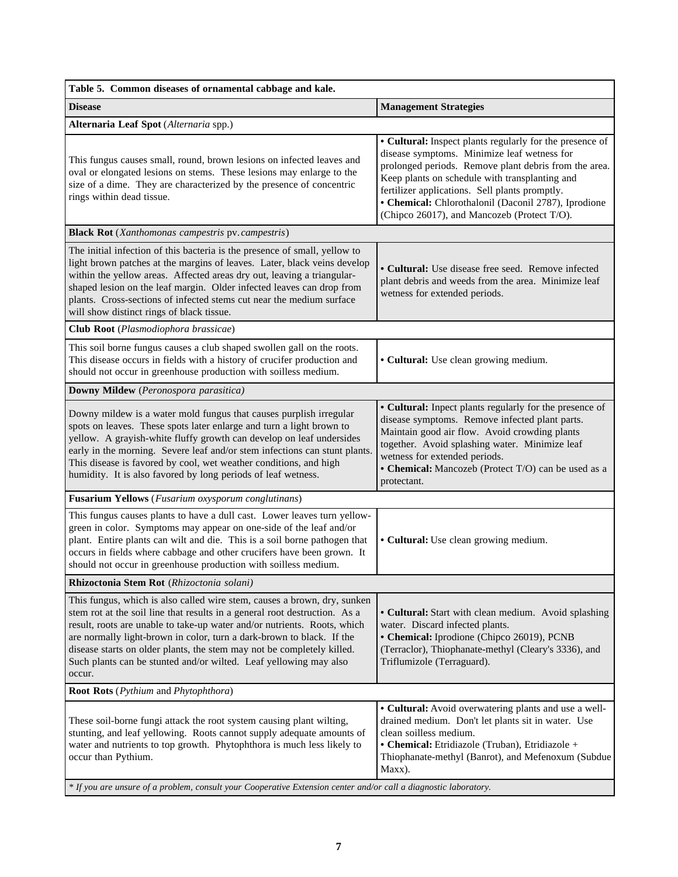| Table 5. Common diseases of ornamental cabbage and kale.                                                                                                                                                                                                                                                                                                                                                                                                             |                                                                                                                                                                                                                                                                                                                                                                             |  |  |
|----------------------------------------------------------------------------------------------------------------------------------------------------------------------------------------------------------------------------------------------------------------------------------------------------------------------------------------------------------------------------------------------------------------------------------------------------------------------|-----------------------------------------------------------------------------------------------------------------------------------------------------------------------------------------------------------------------------------------------------------------------------------------------------------------------------------------------------------------------------|--|--|
| <b>Disease</b>                                                                                                                                                                                                                                                                                                                                                                                                                                                       | <b>Management Strategies</b>                                                                                                                                                                                                                                                                                                                                                |  |  |
| Alternaria Leaf Spot (Alternaria spp.)                                                                                                                                                                                                                                                                                                                                                                                                                               |                                                                                                                                                                                                                                                                                                                                                                             |  |  |
| This fungus causes small, round, brown lesions on infected leaves and<br>oval or elongated lesions on stems. These lesions may enlarge to the<br>size of a dime. They are characterized by the presence of concentric<br>rings within dead tissue.                                                                                                                                                                                                                   | • Cultural: Inspect plants regularly for the presence of<br>disease symptoms. Minimize leaf wetness for<br>prolonged periods. Remove plant debris from the area.<br>Keep plants on schedule with transplanting and<br>fertilizer applications. Sell plants promptly.<br>• Chemical: Chlorothalonil (Daconil 2787), Iprodione<br>(Chipco 26017), and Mancozeb (Protect T/O). |  |  |
| <b>Black Rot</b> (Xanthomonas campestris pv. campestris)                                                                                                                                                                                                                                                                                                                                                                                                             |                                                                                                                                                                                                                                                                                                                                                                             |  |  |
| The initial infection of this bacteria is the presence of small, yellow to<br>light brown patches at the margins of leaves. Later, black veins develop<br>within the yellow areas. Affected areas dry out, leaving a triangular-<br>shaped lesion on the leaf margin. Older infected leaves can drop from<br>plants. Cross-sections of infected stems cut near the medium surface<br>will show distinct rings of black tissue.                                       | • Cultural: Use disease free seed. Remove infected<br>plant debris and weeds from the area. Minimize leaf<br>wetness for extended periods.                                                                                                                                                                                                                                  |  |  |
| Club Root (Plasmodiophora brassicae)                                                                                                                                                                                                                                                                                                                                                                                                                                 |                                                                                                                                                                                                                                                                                                                                                                             |  |  |
| This soil borne fungus causes a club shaped swollen gall on the roots.<br>This disease occurs in fields with a history of crucifer production and<br>should not occur in greenhouse production with soilless medium.                                                                                                                                                                                                                                                 | • Cultural: Use clean growing medium.                                                                                                                                                                                                                                                                                                                                       |  |  |
| Downy Mildew (Peronospora parasitica)                                                                                                                                                                                                                                                                                                                                                                                                                                |                                                                                                                                                                                                                                                                                                                                                                             |  |  |
| Downy mildew is a water mold fungus that causes purplish irregular<br>spots on leaves. These spots later enlarge and turn a light brown to<br>yellow. A grayish-white fluffy growth can develop on leaf undersides<br>early in the morning. Severe leaf and/or stem infections can stunt plants.<br>This disease is favored by cool, wet weather conditions, and high<br>humidity. It is also favored by long periods of leaf wetness.                               | • Cultural: Inpect plants regularly for the presence of<br>disease symptoms. Remove infected plant parts.<br>Maintain good air flow. Avoid crowding plants<br>together. Avoid splashing water. Minimize leaf<br>wetness for extended periods.<br>• Chemical: Mancozeb (Protect T/O) can be used as a<br>protectant.                                                         |  |  |
| Fusarium Yellows (Fusarium oxysporum conglutinans)                                                                                                                                                                                                                                                                                                                                                                                                                   |                                                                                                                                                                                                                                                                                                                                                                             |  |  |
| This fungus causes plants to have a dull cast. Lower leaves turn yellow-<br>green in color. Symptoms may appear on one-side of the leaf and/or<br>plant. Entire plants can wilt and die. This is a soil borne pathogen that<br>occurs in fields where cabbage and other crucifers have been grown. It<br>should not occur in greenhouse production with soilless medium.                                                                                             | • Cultural: Use clean growing medium.                                                                                                                                                                                                                                                                                                                                       |  |  |
| Rhizoctonia Stem Rot (Rhizoctonia solani)                                                                                                                                                                                                                                                                                                                                                                                                                            |                                                                                                                                                                                                                                                                                                                                                                             |  |  |
| This fungus, which is also called wire stem, causes a brown, dry, sunken<br>stem rot at the soil line that results in a general root destruction. As a<br>result, roots are unable to take-up water and/or nutrients. Roots, which<br>are normally light-brown in color, turn a dark-brown to black. If the<br>disease starts on older plants, the stem may not be completely killed.<br>Such plants can be stunted and/or wilted. Leaf yellowing may also<br>occur. | • Cultural: Start with clean medium. Avoid splashing<br>water. Discard infected plants.<br>• Chemical: Iprodione (Chipco 26019), PCNB<br>(Terraclor), Thiophanate-methyl (Cleary's 3336), and<br>Triflumizole (Terraguard).                                                                                                                                                 |  |  |
| Root Rots (Pythium and Phytophthora)                                                                                                                                                                                                                                                                                                                                                                                                                                 |                                                                                                                                                                                                                                                                                                                                                                             |  |  |
| These soil-borne fungi attack the root system causing plant wilting,<br>stunting, and leaf yellowing. Roots cannot supply adequate amounts of<br>water and nutrients to top growth. Phytophthora is much less likely to<br>occur than Pythium.                                                                                                                                                                                                                       | • Cultural: Avoid overwatering plants and use a well-<br>drained medium. Don't let plants sit in water. Use<br>clean soilless medium.<br>· Chemical: Etridiazole (Truban), Etridiazole +<br>Thiophanate-methyl (Banrot), and Mefenoxum (Subdue<br>Maxx).                                                                                                                    |  |  |
| * If you are unsure of a problem, consult your Cooperative Extension center and/or call a diagnostic laboratory.                                                                                                                                                                                                                                                                                                                                                     |                                                                                                                                                                                                                                                                                                                                                                             |  |  |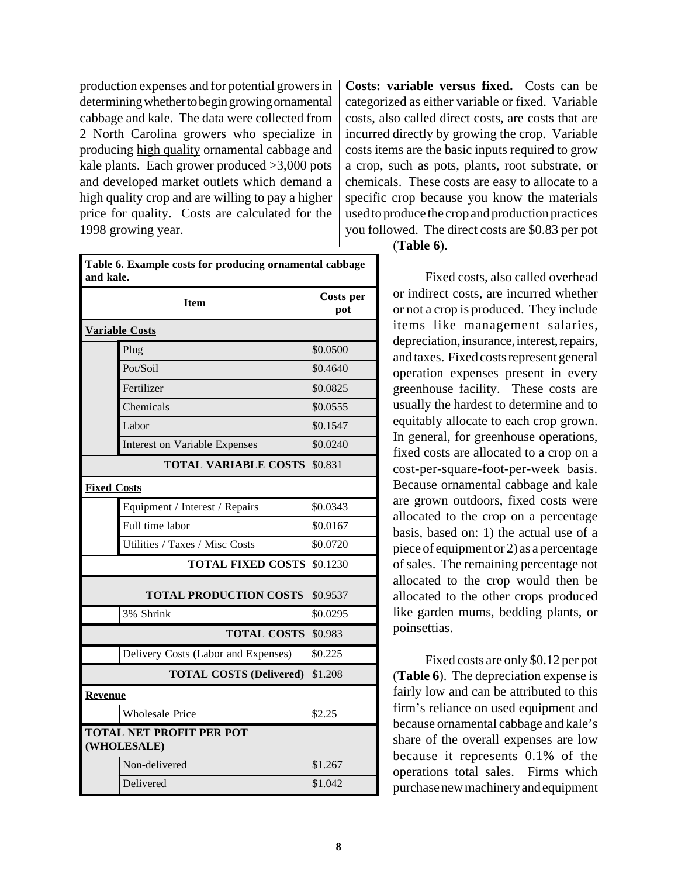production expenses and for potential growers in determining whether to begin growing ornamental cabbage and kale. The data were collected from 2 North Carolina growers who specialize in producing high quality ornamental cabbage and kale plants. Each grower produced >3,000 pots and developed market outlets which demand a high quality crop and are willing to pay a higher price for quality. Costs are calculated for the 1998 growing year.

categorized as either variable or fixed. Variable costs, also called direct costs, are costs that are incurred directly by growing the crop. Variable costs items are the basic inputs required to grow a crop, such as pots, plants, root substrate, or chemicals. These costs are easy to allocate to a specific crop because you know the materials used to produce the crop and production practices you followed. The direct costs are \$0.83 per pot

**Costs: variable versus fixed.** Costs can be

| Table 6. Example costs for producing ornamental cabbage |  |
|---------------------------------------------------------|--|
| and kale.                                               |  |
|                                                         |  |

|                                                | <b>Costs per</b><br>pot              |          |
|------------------------------------------------|--------------------------------------|----------|
|                                                | <b>Variable Costs</b>                |          |
|                                                | Plug                                 | \$0.0500 |
|                                                | Pot/Soil                             | \$0.4640 |
|                                                | Fertilizer                           | \$0.0825 |
|                                                | Chemicals                            | \$0.0555 |
|                                                | Labor                                | \$0.1547 |
|                                                | <b>Interest on Variable Expenses</b> | \$0.0240 |
|                                                | <b>TOTAL VARIABLE COSTS</b>          | \$0.831  |
| <b>Fixed Costs</b>                             |                                      |          |
|                                                | Equipment / Interest / Repairs       | \$0.0343 |
|                                                | Full time labor                      | \$0.0167 |
|                                                | Utilities / Taxes / Misc Costs       | \$0.0720 |
|                                                | <b>TOTAL FIXED COSTS</b>             | \$0.1230 |
|                                                | <b>TOTAL PRODUCTION COSTS</b>        | \$0.9537 |
|                                                | 3% Shrink                            | \$0.0295 |
|                                                | <b>TOTAL COSTS</b>                   | \$0.983  |
|                                                | Delivery Costs (Labor and Expenses)  | \$0.225  |
|                                                | \$1.208                              |          |
| <b>Revenue</b>                                 |                                      |          |
|                                                | <b>Wholesale Price</b>               | \$2.25   |
| <b>TOTAL NET PROFIT PER POT</b><br>(WHOLESALE) |                                      |          |
|                                                | Non-delivered                        | \$1.267  |
|                                                | Delivered                            | \$1.042  |

(**Table 6**).

Fixed costs, also called overhead or indirect costs, are incurred whether or not a crop is produced. They include items like management salaries, depreciation, insurance, interest, repairs, and taxes. Fixed costs represent general operation expenses present in every greenhouse facility. These costs are usually the hardest to determine and to equitably allocate to each crop grown. In general, for greenhouse operations, fixed costs are allocated to a crop on a cost-per-square-foot-per-week basis. Because ornamental cabbage and kale are grown outdoors, fixed costs were allocated to the crop on a percentage basis, based on: 1) the actual use of a piece of equipment or 2) as a percentage of sales. The remaining percentage not allocated to the crop would then be allocated to the other crops produced like garden mums, bedding plants, or poinsettias.

Fixed costs are only \$0.12 per pot (**Table 6**). The depreciation expense is fairly low and can be attributed to this firm's reliance on used equipment and because ornamental cabbage and kale's share of the overall expenses are low because it represents 0.1% of the operations total sales. Firms which purchase new machinery and equipment